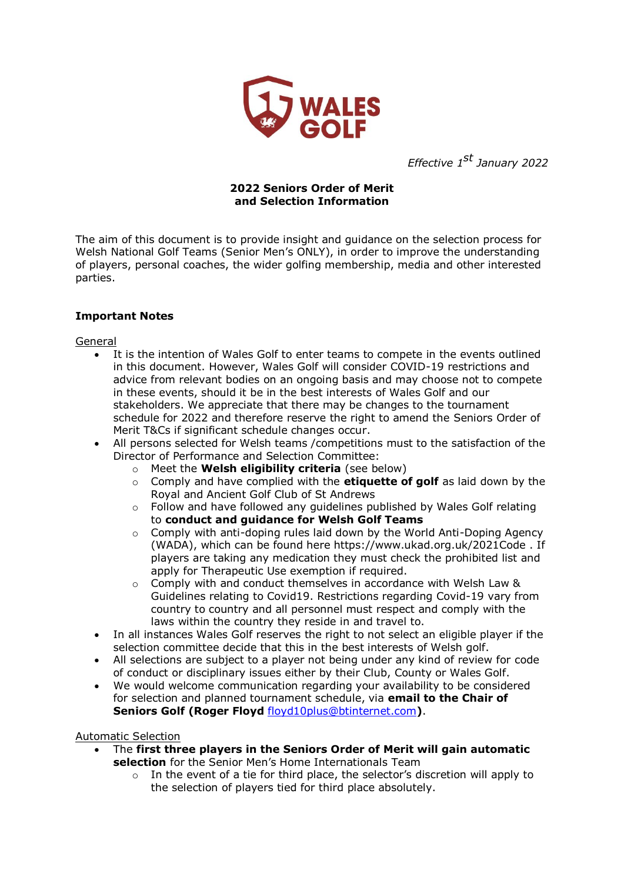

*Effective 1st January 2022*

## **2022 Seniors Order of Merit and Selection Information**

The aim of this document is to provide insight and guidance on the selection process for Welsh National Golf Teams (Senior Men's ONLY), in order to improve the understanding of players, personal coaches, the wider golfing membership, media and other interested parties.

# **Important Notes**

General

- It is the intention of Wales Golf to enter teams to compete in the events outlined in this document. However, Wales Golf will consider COVID-19 restrictions and advice from relevant bodies on an ongoing basis and may choose not to compete in these events, should it be in the best interests of Wales Golf and our stakeholders. We appreciate that there may be changes to the tournament schedule for 2022 and therefore reserve the right to amend the Seniors Order of Merit T&Cs if significant schedule changes occur.
- All persons selected for Welsh teams /competitions must to the satisfaction of the Director of Performance and Selection Committee:
	- o Meet the **Welsh eligibility criteria** (see below)
	- o Comply and have complied with the **etiquette of golf** as laid down by the Royal and Ancient Golf Club of St Andrews
	- o Follow and have followed any guidelines published by Wales Golf relating to **conduct and guidance for Welsh Golf Teams**
	- $\circ$  Comply with anti-doping rules laid down by the World Anti-Doping Agency (WADA), which can be found here https://www.ukad.org.uk/2021Code . If players are taking any medication they must check the prohibited list and apply for Therapeutic Use exemption if required.
	- $\circ$  Comply with and conduct themselves in accordance with Welsh Law & Guidelines relating to Covid19. Restrictions regarding Covid-19 vary from country to country and all personnel must respect and comply with the laws within the country they reside in and travel to.
- In all instances Wales Golf reserves the right to not select an eligible player if the selection committee decide that this in the best interests of Welsh golf.
- All selections are subject to a player not being under any kind of review for code of conduct or disciplinary issues either by their Club, County or Wales Golf.
- We would welcome communication regarding your availability to be considered for selection and planned tournament schedule, via **email to the Chair of Seniors Golf (Roger Floyd** [floyd10plus@btinternet.com](mailto:floyd10plus@btinternet.com)**)**.

#### Automatic Selection

- The **first three players in the Seniors Order of Merit will gain automatic selection** for the Senior Men's Home Internationals Team
	- $\circ$  In the event of a tie for third place, the selector's discretion will apply to the selection of players tied for third place absolutely.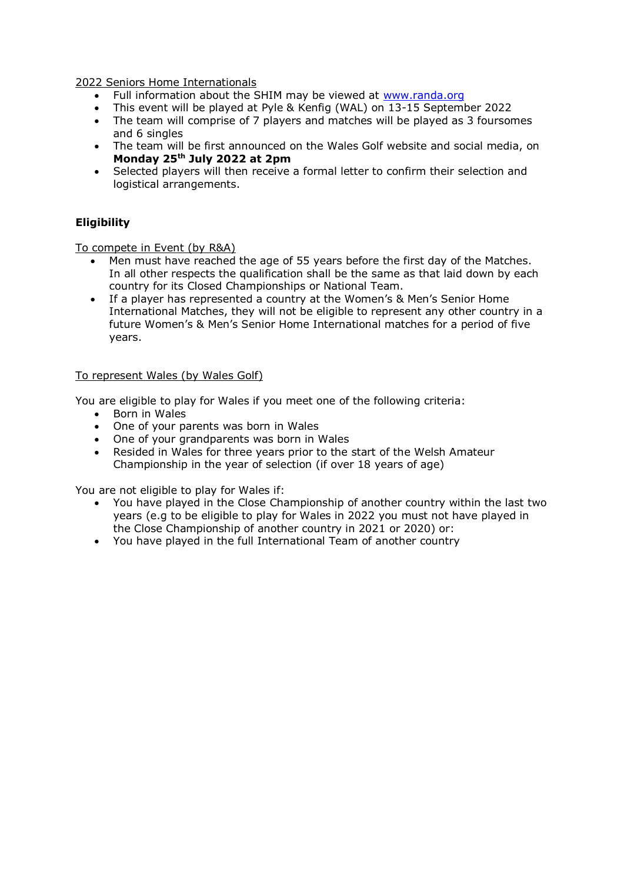2022 Seniors Home Internationals

- Full information about the SHIM may be viewed at www.randa.org
- This event will be played at Pyle & Kenfig (WAL) on 13-15 September 2022
- The team will comprise of 7 players and matches will be played as 3 foursomes and 6 singles
- The team will be first announced on the Wales Golf website and social media, on **Monday 25th July 2022 at 2pm**
- Selected players will then receive a formal letter to confirm their selection and logistical arrangements.

### **Eligibility**

To compete in Event (by R&A)

- Men must have reached the age of 55 years before the first day of the Matches. In all other respects the qualification shall be the same as that laid down by each country for its Closed Championships or National Team.
- If a player has represented a country at the Women's & Men's Senior Home International Matches, they will not be eligible to represent any other country in a future Women's & Men's Senior Home International matches for a period of five years.

#### To represent Wales (by Wales Golf)

You are eligible to play for Wales if you meet one of the following criteria:

- Born in Wales
- One of your parents was born in Wales
- One of your grandparents was born in Wales
- Resided in Wales for three years prior to the start of the Welsh Amateur Championship in the year of selection (if over 18 years of age)

You are not eligible to play for Wales if:

- You have played in the Close Championship of another country within the last two years (e.g to be eligible to play for Wales in 2022 you must not have played in the Close Championship of another country in 2021 or 2020) or:
- You have played in the full International Team of another country